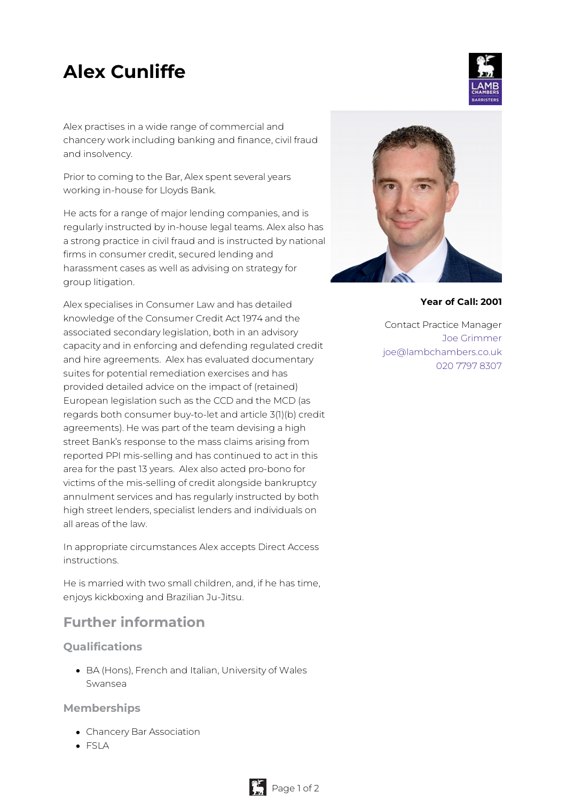# **Alex Cunliffe**

Alex practises in a wide range of commercial and chancery work including banking and finance, civil fraud and insolvency.

Prior to coming to the Bar, Alex spent several years working in-house for Lloyds Bank.

He acts for a range of major lending companies, and is regularly instructed by in-house legal teams. Alex also has a strong practice in civil fraud and is instructed by national firms in consumer credit, secured lending and harassment cases as well as advising on strategy for group litigation.

Alex specialises in Consumer Law and has detailed knowledge of the Consumer Credit Act 1974 and the associated secondary legislation, both in an advisory capacity and in enforcing and defending regulated credit and hire agreements. Alex has evaluated documentary suites for potential remediation exercises and has provided detailed advice on the impact of (retained) European legislation such as the CCD and the MCD (as regards both consumer buy-to-let and article 3(1)(b) credit agreements). He was part of the team devising a high street Bank's response to the mass claims arising from reported PPI mis-selling and has continued to act in this area for the past 13 years. Alex also acted pro-bono for victims of the mis-selling of credit alongside bankruptcy annulment services and has regularly instructed by both high street lenders, specialist lenders and individuals on all areas of the law.

In appropriate circumstances Alex accepts Direct Access instructions.

He is married with two small children, and, if he has time, enjoys kickboxing and Brazilian Ju-Jitsu.

## **Further information**

### **Qualifications**

BA (Hons), French and Italian, University of Wales Swansea

**Memberships**

- Chancery Bar Association
- FSLA



#### **Year of Call: 2001**

Contact Practice Manager Joe [Grimmer](mailto:joe@lambchambers.co.uk) [joe@lambchambers.co.uk](mailto:joe@lambchambers.co.uk) 020 7797 [8307](tel:020%207797%208307)